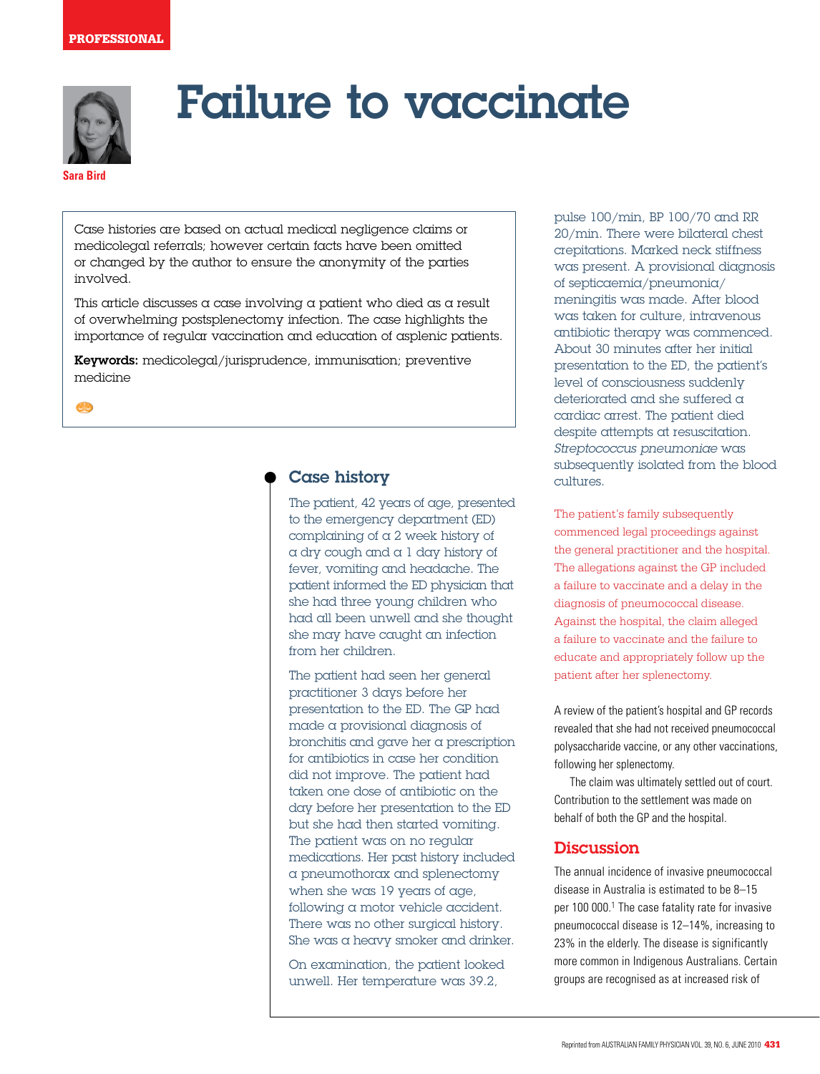

# Failure to vaccinate

## **Sara Bird**

Case histories are based on actual medical negligence claims or medicolegal referrals; however certain facts have been omitted or changed by the author to ensure the anonymity of the parties involved.

This article discusses a case involving a patient who died as a result of overwhelming postsplenectomy infection. The case highlights the importance of regular vaccination and education of asplenic patients.

Keywords: medicolegal/jurisprudence, immunisation; preventive medicine

**CD** 

## Case history

The patient, 42 years of age, presented to the emergency department (ED) complaining of a 2 week history of a dry cough and a 1 day history of fever, vomiting and headache. The patient informed the ED physician that she had three young children who had all been unwell and she thought she may have caught an infection from her children.

The patient had seen her general practitioner 3 days before her presentation to the ED. The GP had made a provisional diagnosis of bronchitis and gave her a prescription for antibiotics in case her condition did not improve. The patient had taken one dose of antibiotic on the day before her presentation to the ED but she had then started vomiting. The patient was on no regular medications. Her past history included a pneumothorax and splenectomy when she was 19 years of age, following a motor vehicle accident. There was no other surgical history. She was a heavy smoker and drinker.

On examination, the patient looked unwell. Her temperature was 39.2,

pulse 100/min, BP 100/70 and RR 20/min. There were bilateral chest crepitations. Marked neck stiffness was present. A provisional diagnosis of septicaemia/pneumonia/ meningitis was made. After blood was taken for culture, intravenous antibiotic therapy was commenced. About 30 minutes after her initial presentation to the ED, the patient's level of consciousness suddenly deteriorated and she suffered a cardiac arrest. The patient died despite attempts at resuscitation. Streptococcus pneumoniae was subsequently isolated from the blood cultures.

The patient's family subsequently commenced legal proceedings against the general practitioner and the hospital. The allegations against the GP included a failure to vaccinate and a delay in the diagnosis of pneumococcal disease. Against the hospital, the claim alleged a failure to vaccinate and the failure to educate and appropriately follow up the patient after her splenectomy.

A review of the patient's hospital and GP records revealed that she had not received pneumococcal polysaccharide vaccine, or any other vaccinations, following her splenectomy.

The claim was ultimately settled out of court. Contribution to the settlement was made on behalf of both the GP and the hospital.

## **Discussion**

The annual incidence of invasive pneumococcal disease in Australia is estimated to be 8–15 per 100 000.<sup>1</sup> The case fatality rate for invasive pneumococcal disease is 12–14%, increasing to 23% in the elderly. The disease is significantly more common in Indigenous Australians. Certain groups are recognised as at increased risk of